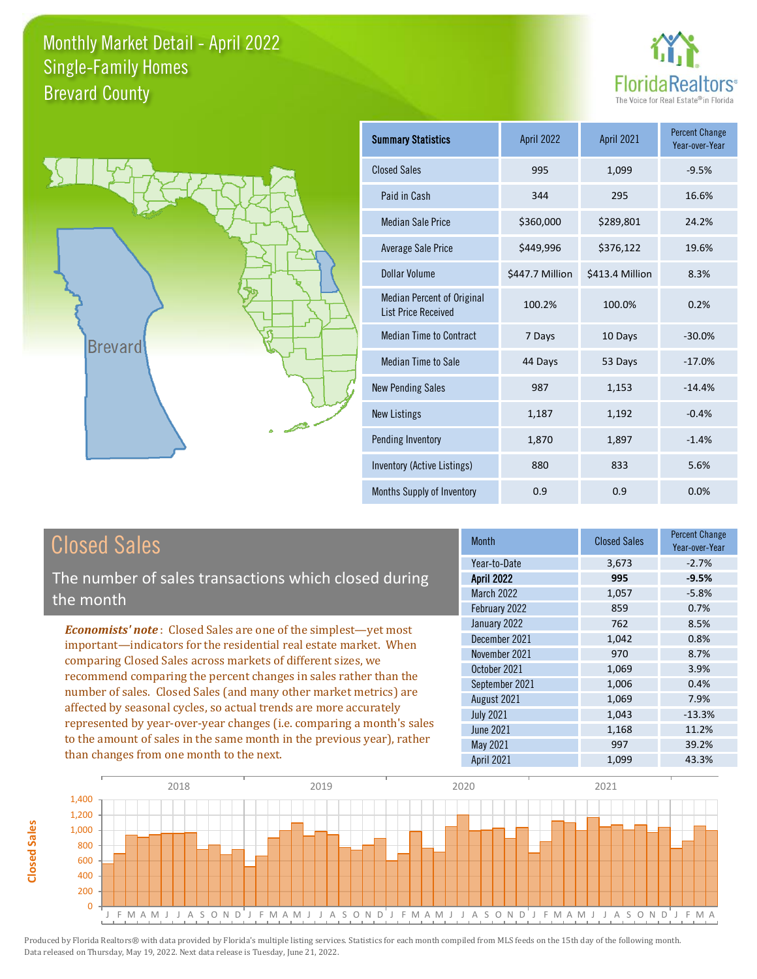



| <b>Summary Statistics</b>                                       | April 2022      | <b>April 2021</b> | <b>Percent Change</b><br>Year-over-Year |
|-----------------------------------------------------------------|-----------------|-------------------|-----------------------------------------|
| <b>Closed Sales</b>                                             | 995             | 1,099             | $-9.5%$                                 |
| Paid in Cash                                                    | 344             | 295               | 16.6%                                   |
| <b>Median Sale Price</b>                                        | \$360,000       | \$289,801         | 24.2%                                   |
| Average Sale Price                                              | \$449,996       | \$376,122         | 19.6%                                   |
| Dollar Volume                                                   | \$447.7 Million | \$413.4 Million   | 8.3%                                    |
| <b>Median Percent of Original</b><br><b>List Price Received</b> | 100.2%          | 100.0%            | 0.2%                                    |
| <b>Median Time to Contract</b>                                  | 7 Days          | 10 Days           | $-30.0%$                                |
| <b>Median Time to Sale</b>                                      | 44 Days         | 53 Days           | $-17.0%$                                |
| <b>New Pending Sales</b>                                        | 987             | 1,153             | $-14.4%$                                |
| <b>New Listings</b>                                             | 1,187           | 1,192             | $-0.4%$                                 |
| Pending Inventory                                               | 1,870           | 1,897             | $-1.4%$                                 |
| Inventory (Active Listings)                                     | 880             | 833               | 5.6%                                    |
| Months Supply of Inventory                                      | 0.9             | 0.9               | 0.0%                                    |

## Closed Sales

The number of sales transactions which closed during the month

*Economists' note* : Closed Sales are one of the simplest—yet most important—indicators for the residential real estate market. When comparing Closed Sales across markets of different sizes, we recommend comparing the percent changes in sales rather than the number of sales. Closed Sales (and many other market metrics) are affected by seasonal cycles, so actual trends are more accurately represented by year-over-year changes (i.e. comparing a month's sales to the amount of sales in the same month in the previous year), rather than changes from one month to the next.

| Month             | <b>Closed Sales</b> | <b>Percent Change</b><br>Year-over-Year |
|-------------------|---------------------|-----------------------------------------|
| Year-to-Date      | 3,673               | $-2.7%$                                 |
| <b>April 2022</b> | 995                 | $-9.5%$                                 |
| <b>March 2022</b> | 1,057               | $-5.8%$                                 |
| February 2022     | 859                 | 0.7%                                    |
| January 2022      | 762                 | 8.5%                                    |
| December 2021     | 1,042               | 0.8%                                    |
| November 2021     | 970                 | 8.7%                                    |
| October 2021      | 1,069               | 3.9%                                    |
| September 2021    | 1,006               | 0.4%                                    |
| August 2021       | 1,069               | 7.9%                                    |
| <b>July 2021</b>  | 1,043               | $-13.3%$                                |
| <b>June 2021</b>  | 1,168               | 11.2%                                   |
| <b>May 2021</b>   | 997                 | 39.2%                                   |
| April 2021        | 1,099               | 43.3%                                   |

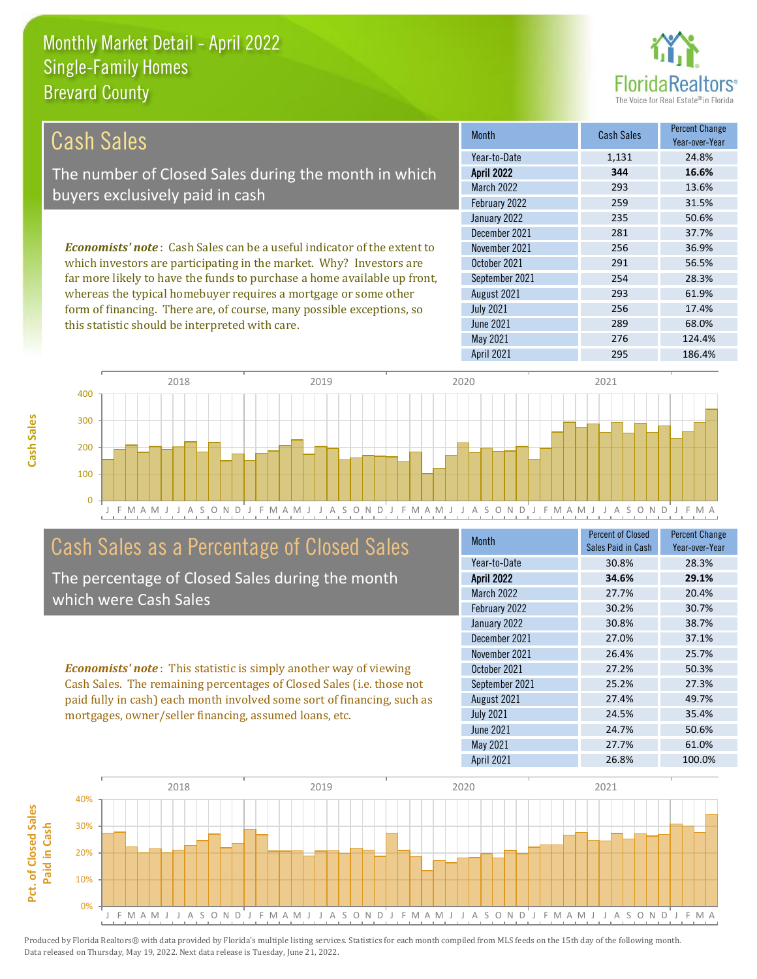this statistic should be interpreted with care.



289 68.0%

| Cash Sales                                                                     | <b>Month</b>      | <b>Cash Sales</b> | <b>Percent Change</b><br>Year-over-Year |
|--------------------------------------------------------------------------------|-------------------|-------------------|-----------------------------------------|
|                                                                                | Year-to-Date      | 1,131             | 24.8%                                   |
| The number of Closed Sales during the month in which                           | <b>April 2022</b> | 344               | 16.6%                                   |
| buyers exclusively paid in cash                                                | <b>March 2022</b> | 293               | 13.6%                                   |
|                                                                                | February 2022     | 259               | 31.5%                                   |
|                                                                                | January 2022      | 235               | 50.6%                                   |
|                                                                                | December 2021     | 281               | 37.7%                                   |
| <b>Economists' note:</b> Cash Sales can be a useful indicator of the extent to | November 2021     | 256               | 36.9%                                   |
| which investors are participating in the market. Why? Investors are            | October 2021      | 291               | 56.5%                                   |
| far more likely to have the funds to purchase a home available up front,       | September 2021    | 254               | 28.3%                                   |
| whereas the typical homebuyer requires a mortgage or some other                | August 2021       | 293               | 61.9%                                   |
| form of financing. There are, of course, many possible exceptions, so          | <b>July 2021</b>  | 256               | 17.4%                                   |



### Cash Sales as a Percentage of Closed Sales

The percentage of Closed Sales during the month which were Cash Sales

*Economists' note* : This statistic is simply another way of viewing Cash Sales. The remaining percentages of Closed Sales (i.e. those not paid fully in cash) each month involved some sort of financing, such as mortgages, owner/seller financing, assumed loans, etc.

| <b>Month</b>      | <b>Percent of Closed</b><br>Sales Paid in Cash | <b>Percent Change</b><br>Year-over-Year |
|-------------------|------------------------------------------------|-----------------------------------------|
| Year-to-Date      | 30.8%                                          | 28.3%                                   |
| <b>April 2022</b> | 34.6%                                          | 29.1%                                   |
| March 2022        | 27.7%                                          | 20.4%                                   |
| February 2022     | 30.2%                                          | 30.7%                                   |
| January 2022      | 30.8%                                          | 38.7%                                   |
| December 2021     | 27.0%                                          | 37.1%                                   |
| November 2021     | 26.4%                                          | 25.7%                                   |
| October 2021      | 27.2%                                          | 50.3%                                   |
| September 2021    | 25.2%                                          | 27.3%                                   |
| August 2021       | 27.4%                                          | 49.7%                                   |
| <b>July 2021</b>  | 24.5%                                          | 35.4%                                   |
| <b>June 2021</b>  | 24.7%                                          | 50.6%                                   |
| May 2021          | 27.7%                                          | 61.0%                                   |
| <b>April 2021</b> | 26.8%                                          | 100.0%                                  |

May 2021 276 276 124.4%

June 2021

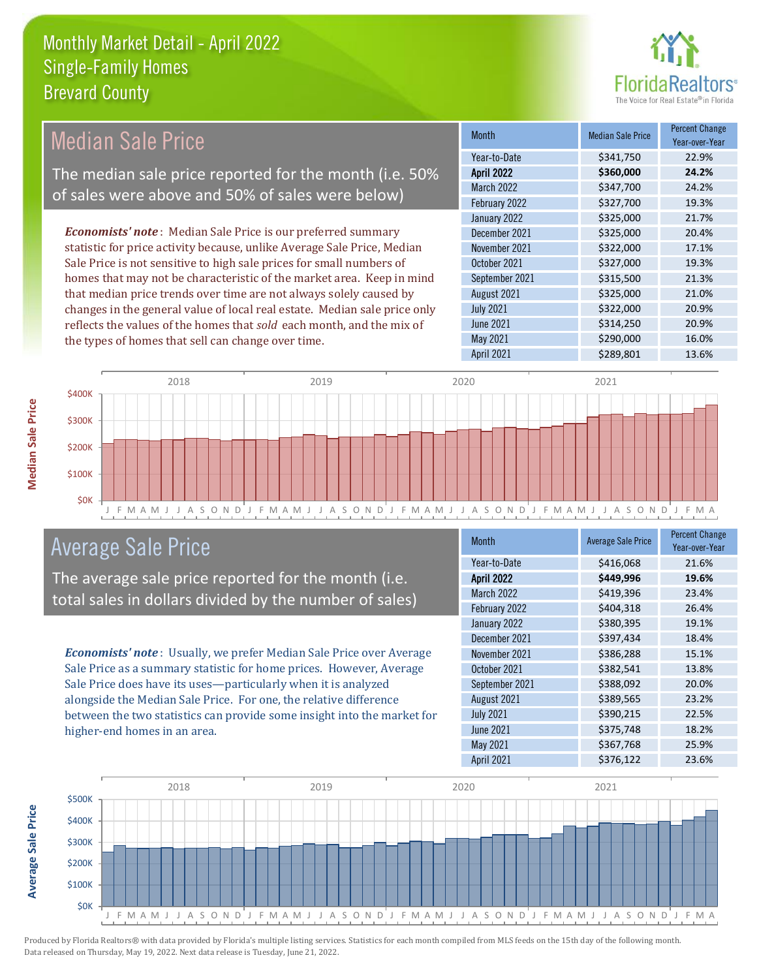

| <b>Median Sale Price</b>                                                  | <b>Month</b>      | <b>Median Sale Price</b> | <b>Percent Change</b><br>Year-over-Year |
|---------------------------------------------------------------------------|-------------------|--------------------------|-----------------------------------------|
|                                                                           | Year-to-Date      | \$341,750                | 22.9%                                   |
| The median sale price reported for the month (i.e. 50%                    | <b>April 2022</b> | \$360,000                | 24.2%                                   |
| of sales were above and 50% of sales were below)                          | <b>March 2022</b> | \$347,700                | 24.2%                                   |
|                                                                           | February 2022     | \$327,700                | 19.3%                                   |
|                                                                           | January 2022      | \$325,000                | 21.7%                                   |
| <b>Economists' note:</b> Median Sale Price is our preferred summary       | December 2021     | \$325,000                | 20.4%                                   |
| statistic for price activity because, unlike Average Sale Price, Median   | November 2021     | \$322,000                | 17.1%                                   |
| Sale Price is not sensitive to high sale prices for small numbers of      | October 2021      | \$327,000                | 19.3%                                   |
| homes that may not be characteristic of the market area. Keep in mind     | September 2021    | \$315,500                | 21.3%                                   |
| that median price trends over time are not always solely caused by        | August 2021       | \$325,000                | 21.0%                                   |
| changes in the general value of local real estate. Median sale price only | <b>July 2021</b>  | \$322,000                | 20.9%                                   |
| reflects the values of the homes that sold each month, and the mix of     | June 2021         | \$314,250                | 20.9%                                   |
| the types of homes that sell can change over time.                        | May 2021          | \$290,000                | 16.0%                                   |
|                                                                           | April 2021        | \$289,801                | 13.6%                                   |



#### Average Sale Price

The average sale price reported for the month (i.e. total sales in dollars divided by the number of sales)

*Economists' note* : Usually, we prefer Median Sale Price over Average Sale Price as a summary statistic for home prices. However, Average Sale Price does have its uses—particularly when it is analyzed alongside the Median Sale Price. For one, the relative difference between the two statistics can provide some insight into the market for higher-end homes in an area.

| Month             | <b>Average Sale Price</b> | <b>Percent Change</b><br>Year-over-Year |
|-------------------|---------------------------|-----------------------------------------|
| Year-to-Date      | \$416,068                 | 21.6%                                   |
| <b>April 2022</b> | \$449,996                 | 19.6%                                   |
| <b>March 2022</b> | \$419,396                 | 23.4%                                   |
| February 2022     | \$404,318                 | 26.4%                                   |
| January 2022      | \$380,395                 | 19.1%                                   |
| December 2021     | \$397,434                 | 18.4%                                   |
| November 2021     | \$386,288                 | 15.1%                                   |
| October 2021      | \$382,541                 | 13.8%                                   |
| September 2021    | \$388,092                 | 20.0%                                   |
| August 2021       | \$389,565                 | 23.2%                                   |
| <b>July 2021</b>  | \$390,215                 | 22.5%                                   |
| <b>June 2021</b>  | \$375,748                 | 18.2%                                   |
| May 2021          | \$367,768                 | 25.9%                                   |
| April 2021        | \$376,122                 | 23.6%                                   |



**Average Sale Price**

**Average Sale Price**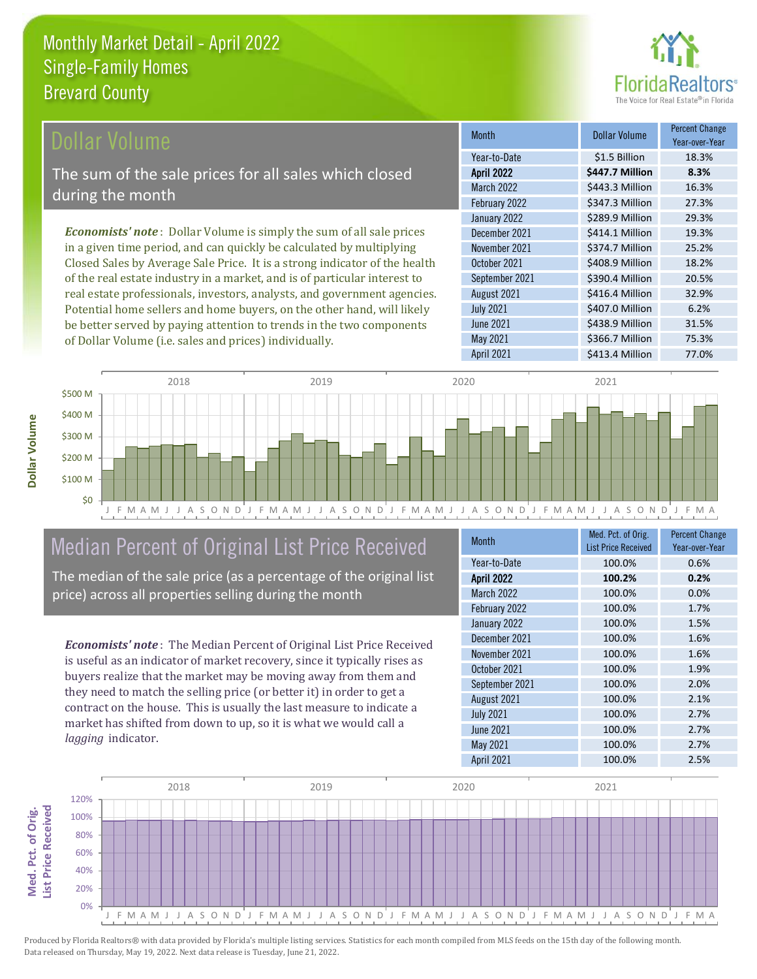

#### **Ollar Volume**

The sum of the sale prices for all sales which closed during the month

*Economists' note* : Dollar Volume is simply the sum of all sale prices in a given time period, and can quickly be calculated by multiplying Closed Sales by Average Sale Price. It is a strong indicator of the health of the real estate industry in a market, and is of particular interest to real estate professionals, investors, analysts, and government agencies. Potential home sellers and home buyers, on the other hand, will likely be better served by paying attention to trends in the two components of Dollar Volume (i.e. sales and prices) individually.

| <b>Month</b>      | Dollar Volume   | <b>Percent Change</b><br>Year-over-Year |
|-------------------|-----------------|-----------------------------------------|
| Year-to-Date      | \$1.5 Billion   | 18.3%                                   |
| <b>April 2022</b> | \$447.7 Million | 8.3%                                    |
| <b>March 2022</b> | \$443.3 Million | 16.3%                                   |
| February 2022     | \$347.3 Million | 27.3%                                   |
| January 2022      | \$289.9 Million | 29.3%                                   |
| December 2021     | \$414.1 Million | 19.3%                                   |
| November 2021     | \$374.7 Million | 25.2%                                   |
| October 2021      | \$408.9 Million | 18.2%                                   |
| September 2021    | \$390.4 Million | 20.5%                                   |
| August 2021       | \$416.4 Million | 32.9%                                   |
| <b>July 2021</b>  | \$407.0 Million | 6.2%                                    |
| <b>June 2021</b>  | \$438.9 Million | 31.5%                                   |
| May 2021          | \$366.7 Million | 75.3%                                   |
| April 2021        | \$413.4 Million | 77.0%                                   |



# Median Percent of Original List Price Received

The median of the sale price (as a percentage of the original list price) across all properties selling during the month

*Economists' note* : The Median Percent of Original List Price Received is useful as an indicator of market recovery, since it typically rises as buyers realize that the market may be moving away from them and they need to match the selling price (or better it) in order to get a contract on the house. This is usually the last measure to indicate a market has shifted from down to up, so it is what we would call a *lagging* indicator.

| <b>Month</b>      | Med. Pct. of Orig.<br><b>List Price Received</b> | <b>Percent Change</b><br>Year-over-Year |
|-------------------|--------------------------------------------------|-----------------------------------------|
| Year-to-Date      | 100.0%                                           | 0.6%                                    |
| <b>April 2022</b> | 100.2%                                           | 0.2%                                    |
| <b>March 2022</b> | 100.0%                                           | 0.0%                                    |
| February 2022     | 100.0%                                           | 1.7%                                    |
| January 2022      | 100.0%                                           | 1.5%                                    |
| December 2021     | 100.0%                                           | 1.6%                                    |
| November 2021     | 100.0%                                           | 1.6%                                    |
| October 2021      | 100.0%                                           | 1.9%                                    |
| September 2021    | 100.0%                                           | 2.0%                                    |
| August 2021       | 100.0%                                           | 2.1%                                    |
| <b>July 2021</b>  | 100.0%                                           | 2.7%                                    |
| <b>June 2021</b>  | 100.0%                                           | 2.7%                                    |
| May 2021          | 100.0%                                           | 2.7%                                    |
| <b>April 2021</b> | 100.0%                                           | 2.5%                                    |



Produced by Florida Realtors® with data provided by Florida's multiple listing services. Statistics for each month compiled from MLS feeds on the 15th day of the following month. Data released on Thursday, May 19, 2022. Next data release is Tuesday, June 21, 2022.

**Med. Pct. of Orig.** 

Med. Pct. of Orig.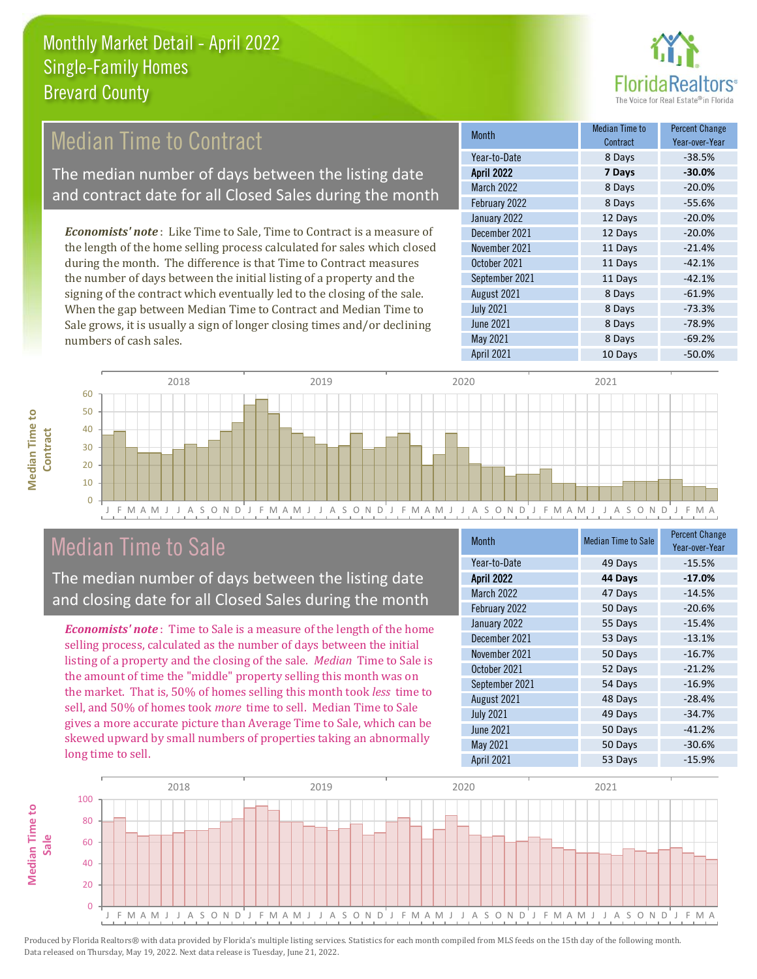

### Median Time to Contract

The median number of days between the listing date and contract date for all Closed Sales during the month

*Economists' note* : Like Time to Sale, Time to Contract is a measure of the length of the home selling process calculated for sales which closed during the month. The difference is that Time to Contract measures the number of days between the initial listing of a property and the signing of the contract which eventually led to the closing of the sale. When the gap between Median Time to Contract and Median Time to Sale grows, it is usually a sign of longer closing times and/or declining numbers of cash sales.

| Month             | Median Time to<br>Contract | <b>Percent Change</b><br>Year-over-Year |
|-------------------|----------------------------|-----------------------------------------|
| Year-to-Date      | 8 Days                     | $-38.5%$                                |
| <b>April 2022</b> | 7 Days                     | $-30.0%$                                |
| March 2022        | 8 Days                     | $-20.0%$                                |
| February 2022     | 8 Days                     | $-55.6%$                                |
| January 2022      | 12 Days                    | $-20.0%$                                |
| December 2021     | 12 Days                    | $-20.0%$                                |
| November 2021     | 11 Days                    | $-21.4%$                                |
| October 2021      | 11 Days                    | $-42.1%$                                |
| September 2021    | 11 Days                    | $-42.1%$                                |
| August 2021       | 8 Days                     | $-61.9%$                                |
| <b>July 2021</b>  | 8 Days                     | $-73.3%$                                |
| <b>June 2021</b>  | 8 Days                     | $-78.9%$                                |
| May 2021          | 8 Days                     | $-69.2%$                                |
| April 2021        | 10 Days                    | $-50.0%$                                |



#### Median Time to Sale

**Median Time to** 

**Median Time to** 

The median number of days between the listing date and closing date for all Closed Sales during the month

*Economists' note* : Time to Sale is a measure of the length of the home selling process, calculated as the number of days between the initial listing of a property and the closing of the sale. *Median* Time to Sale is the amount of time the "middle" property selling this month was on the market. That is, 50% of homes selling this month took *less* time to sell, and 50% of homes took *more* time to sell. Median Time to Sale gives a more accurate picture than Average Time to Sale, which can be skewed upward by small numbers of properties taking an abnormally long time to sell.

| <b>Month</b>      | <b>Median Time to Sale</b> | <b>Percent Change</b><br>Year-over-Year |
|-------------------|----------------------------|-----------------------------------------|
| Year-to-Date      | 49 Days                    | $-15.5%$                                |
| <b>April 2022</b> | 44 Days                    | $-17.0%$                                |
| March 2022        | 47 Days                    | $-14.5%$                                |
| February 2022     | 50 Days                    | $-20.6%$                                |
| January 2022      | 55 Days                    | $-15.4%$                                |
| December 2021     | 53 Days                    | $-13.1%$                                |
| November 2021     | 50 Days                    | $-16.7%$                                |
| October 2021      | 52 Days                    | $-21.2%$                                |
| September 2021    | 54 Days                    | $-16.9%$                                |
| August 2021       | 48 Days                    | $-28.4%$                                |
| <b>July 2021</b>  | 49 Days                    | $-34.7%$                                |
| <b>June 2021</b>  | 50 Days                    | $-41.2%$                                |
| <b>May 2021</b>   | 50 Days                    | $-30.6%$                                |
| <b>April 2021</b> | 53 Days                    | $-15.9%$                                |

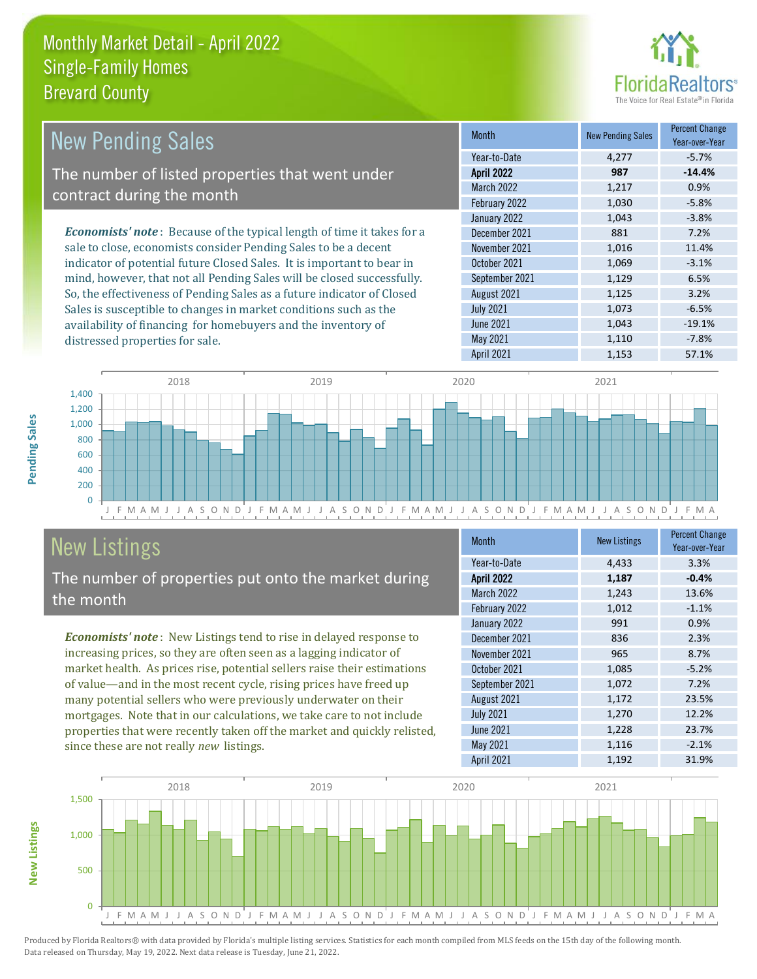

| New Pending Sales                                                             | <b>Month</b>      | <b>New Pending Sales</b> | <b>Percent Change</b><br>Year-over-Year |
|-------------------------------------------------------------------------------|-------------------|--------------------------|-----------------------------------------|
|                                                                               | Year-to-Date      | 4.277                    | $-5.7\%$                                |
| The number of listed properties that went under                               | <b>April 2022</b> | 987                      | $-14.4%$                                |
| contract during the month                                                     | <b>March 2022</b> | 1,217                    | 0.9%                                    |
|                                                                               | February 2022     | 1,030                    | $-5.8%$                                 |
|                                                                               | January 2022      | 1,043                    | $-3.8%$                                 |
| <b>Economists' note:</b> Because of the typical length of time it takes for a | December 2021     | 881                      | 7.2%                                    |
| sale to close, economists consider Pending Sales to be a decent               | November 2021     | 1,016                    | 11.4%                                   |
| indicator of potential future Closed Sales. It is important to bear in        | October 2021      | 1,069                    | $-3.1%$                                 |
| mind, however, that not all Pending Sales will be closed successfully.        | September 2021    | 1,129                    | 6.5%                                    |
| So, the effectiveness of Pending Sales as a future indicator of Closed        | August 2021       | 1,125                    | 3.2%                                    |
| Sales is susceptible to changes in market conditions such as the              | <b>July 2021</b>  | 1.073                    | $-6.5%$                                 |



# New Listings

distressed properties for sale.

The number of properties put onto the market during the month

availability of financing for homebuyers and the inventory of

*Economists' note* : New Listings tend to rise in delayed response to increasing prices, so they are often seen as a lagging indicator of market health. As prices rise, potential sellers raise their estimations of value—and in the most recent cycle, rising prices have freed up many potential sellers who were previously underwater on their mortgages. Note that in our calculations, we take care to not include properties that were recently taken off the market and quickly relisted, since these are not really *new* listings.

| <b>Month</b>      | <b>New Listings</b> | <b>Percent Change</b><br>Year-over-Year |
|-------------------|---------------------|-----------------------------------------|
| Year-to-Date      | 4,433               | 3.3%                                    |
| <b>April 2022</b> | 1,187               | $-0.4%$                                 |
| March 2022        | 1,243               | 13.6%                                   |
| February 2022     | 1,012               | $-1.1%$                                 |
| January 2022      | 991                 | 0.9%                                    |
| December 2021     | 836                 | 2.3%                                    |
| November 2021     | 965                 | 8.7%                                    |
| October 2021      | 1,085               | $-5.2%$                                 |
| September 2021    | 1,072               | 7.2%                                    |
| August 2021       | 1,172               | 23.5%                                   |
| <b>July 2021</b>  | 1,270               | 12.2%                                   |
| <b>June 2021</b>  | 1,228               | 23.7%                                   |
| May 2021          | 1,116               | $-2.1%$                                 |
| April 2021        | 1,192               | 31.9%                                   |

April 2021 1,153 57.1%

June 2021 1,043 -19.1% May 2021 1,110 -7.8%



**New Listings**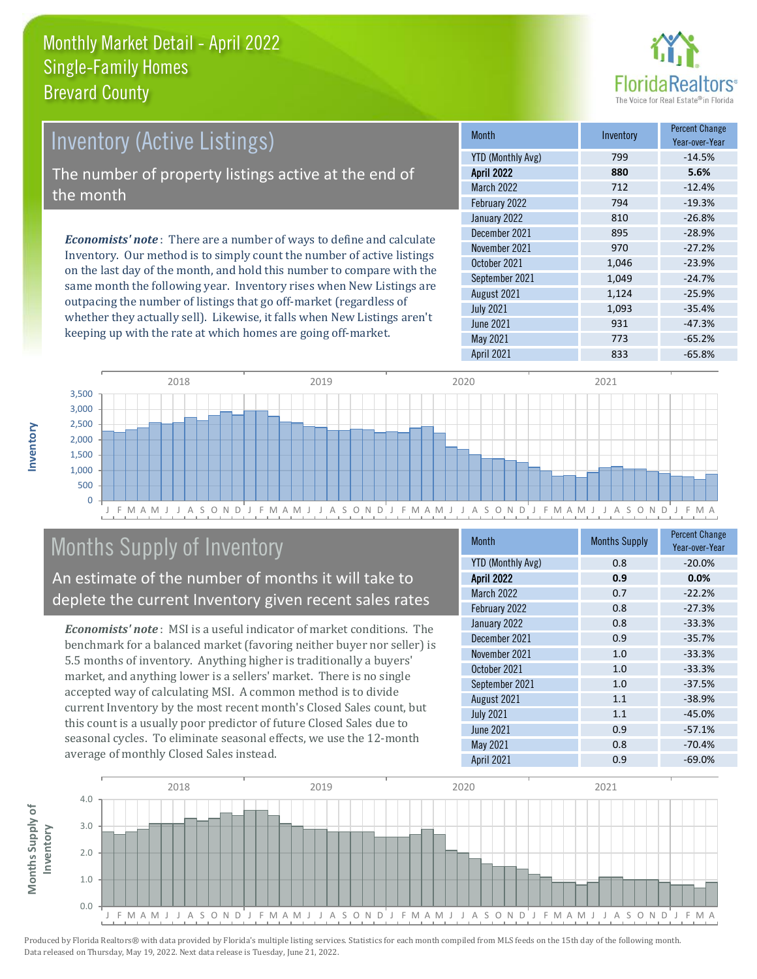

# *Economists' note* : There are a number of ways to define and calculate Inventory (Active Listings) The number of property listings active at the end of the month

Inventory. Our method is to simply count the number of active listings on the last day of the month, and hold this number to compare with the same month the following year. Inventory rises when New Listings are outpacing the number of listings that go off-market (regardless of whether they actually sell). Likewise, it falls when New Listings aren't keeping up with the rate at which homes are going off-market.

| <b>Month</b>             | Inventory | <b>Percent Change</b><br>Year-over-Year |
|--------------------------|-----------|-----------------------------------------|
| <b>YTD (Monthly Avg)</b> | 799       | $-14.5%$                                |
| <b>April 2022</b>        | 880       | 5.6%                                    |
| <b>March 2022</b>        | 712       | $-12.4%$                                |
| February 2022            | 794       | $-19.3%$                                |
| January 2022             | 810       | $-26.8%$                                |
| December 2021            | 895       | $-28.9%$                                |
| November 2021            | 970       | $-27.2%$                                |
| October 2021             | 1,046     | $-23.9%$                                |
| September 2021           | 1,049     | $-24.7%$                                |
| August 2021              | 1,124     | $-25.9%$                                |
| <b>July 2021</b>         | 1,093     | $-35.4%$                                |
| <b>June 2021</b>         | 931       | $-47.3%$                                |
| May 2021                 | 773       | $-65.2%$                                |
| <b>April 2021</b>        | 833       | $-65.8%$                                |



## Months Supply of Inventory

An estimate of the number of months it will take to deplete the current Inventory given recent sales rates

*Economists' note* : MSI is a useful indicator of market conditions. The benchmark for a balanced market (favoring neither buyer nor seller) is 5.5 months of inventory. Anything higher is traditionally a buyers' market, and anything lower is a sellers' market. There is no single accepted way of calculating MSI. A common method is to divide current Inventory by the most recent month's Closed Sales count, but this count is a usually poor predictor of future Closed Sales due to seasonal cycles. To eliminate seasonal effects, we use the 12-month average of monthly Closed Sales instead.

| <b>Month</b>             | <b>Months Supply</b> | <b>Percent Change</b><br>Year-over-Year |
|--------------------------|----------------------|-----------------------------------------|
| <b>YTD (Monthly Avg)</b> | 0.8                  | $-20.0%$                                |
| <b>April 2022</b>        | 0.9                  | $0.0\%$                                 |
| <b>March 2022</b>        | 0.7                  | $-22.2%$                                |
| February 2022            | 0.8                  | $-27.3%$                                |
| January 2022             | 0.8                  | $-33.3%$                                |
| December 2021            | 0.9                  | $-35.7%$                                |
| November 2021            | 1.0                  | $-33.3%$                                |
| October 2021             | 1.0                  | $-33.3%$                                |
| September 2021           | 1.0                  | $-37.5%$                                |
| August 2021              | 1.1                  | $-38.9%$                                |
| <b>July 2021</b>         | 1.1                  | $-45.0%$                                |
| <b>June 2021</b>         | 0.9                  | $-57.1%$                                |
| May 2021                 | 0.8                  | $-70.4%$                                |
| April 2021               | 0.9                  | $-69.0%$                                |

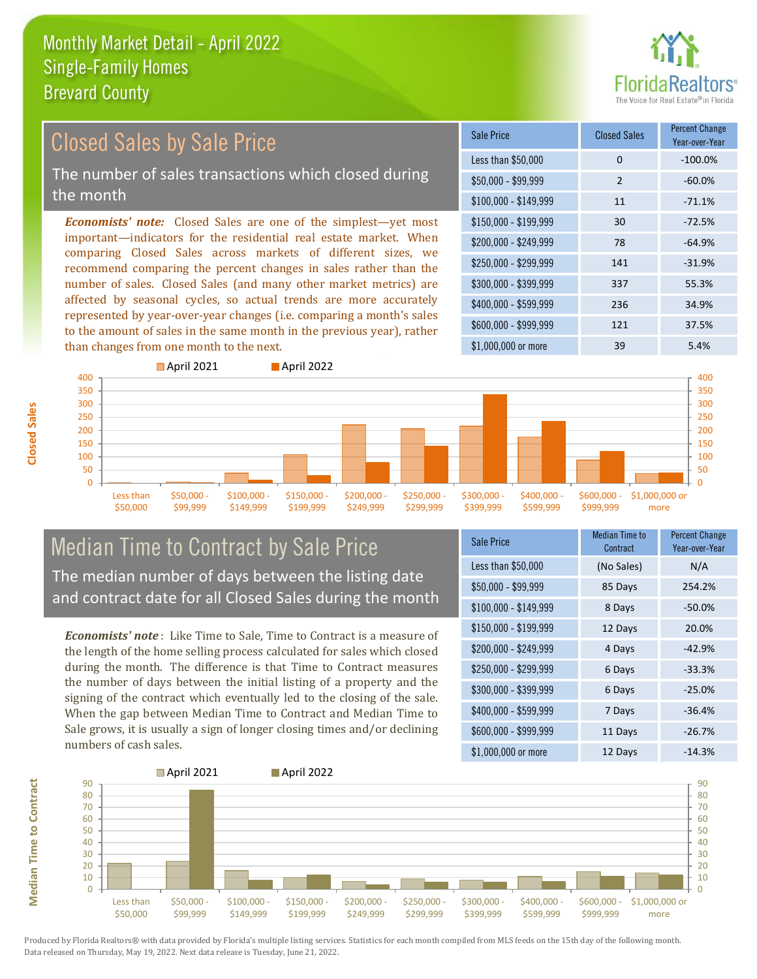

#### $$100,000 - $149,999$  11 -71.1% Sale Price Closed Sales Percent Change Year-over-Year Less than \$50,000 0 0 -100.0%  $$50.000 - $99.999$  2 -60.0% \$150,000 - \$199,999 30 -72.5% \$200,000 - \$249,999 78 -64.9% \$400,000 - \$599,999 236 34.9% \$600,000 - \$999,999 121 37.5% *Economists' note:* Closed Sales are one of the simplest—yet most important—indicators for the residential real estate market. When comparing Closed Sales across markets of different sizes, we recommend comparing the percent changes in sales rather than the number of sales. Closed Sales (and many other market metrics) are affected by seasonal cycles, so actual trends are more accurately represented by year-over-year changes (i.e. comparing a month's sales to the amount of sales in the same month in the previous year), rather than changes from one month to the next. \$1,000,000 or more 39 39 5.4%  $$250,000 - $299,999$  141 -31.9% \$300,000 - \$399,999 337 55.3% **April 2021 April 2022** Closed Sales by Sale Price The number of sales transactions which closed during the month



#### Median Time to Contract by Sale Price The median number of days between the listing date and contract date for all Closed Sales during the month

*Economists' note* : Like Time to Sale, Time to Contract is a measure of the length of the home selling process calculated for sales which closed during the month. The difference is that Time to Contract measures the number of days between the initial listing of a property and the signing of the contract which eventually led to the closing of the sale. When the gap between Median Time to Contract and Median Time to Sale grows, it is usually a sign of longer closing times and/or declining numbers of cash sales.

| Sale Price            | <b>Median Time to</b><br>Contract | <b>Percent Change</b><br>Year-over-Year |
|-----------------------|-----------------------------------|-----------------------------------------|
| Less than \$50,000    | (No Sales)                        | N/A                                     |
| $$50,000 - $99,999$   | 85 Days                           | 254.2%                                  |
| $$100,000 - $149,999$ | 8 Days                            | $-50.0%$                                |
| \$150,000 - \$199,999 | 12 Days                           | 20.0%                                   |
| \$200,000 - \$249,999 | 4 Days                            | $-42.9%$                                |
| \$250,000 - \$299,999 | 6 Days                            | $-33.3%$                                |
| \$300,000 - \$399,999 | 6 Days                            | $-25.0%$                                |
| \$400,000 - \$599,999 | 7 Days                            | $-36.4%$                                |
| \$600,000 - \$999,999 | 11 Days                           | $-26.7%$                                |
| \$1,000,000 or more   | 12 Days                           | $-14.3%$                                |



**Closed Sales**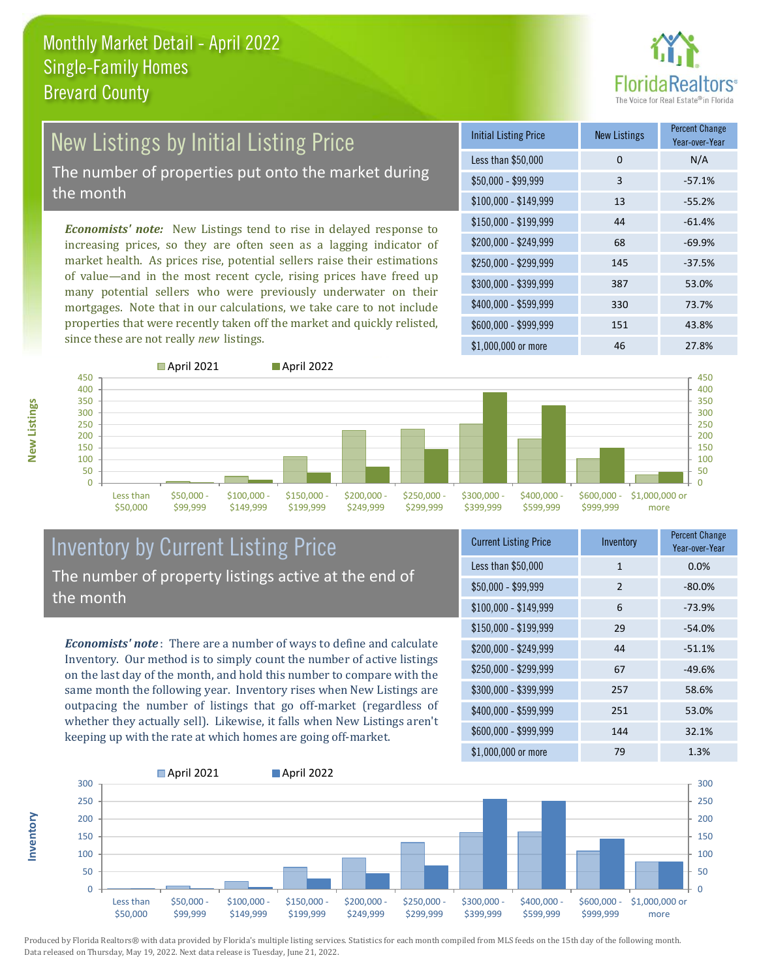

# New Listings by Initial Listing Price

The number of properties put onto the market during the month

*Economists' note:* New Listings tend to rise in delayed response to increasing prices, so they are often seen as a lagging indicator of market health. As prices rise, potential sellers raise their estimations of value—and in the most recent cycle, rising prices have freed up many potential sellers who were previously underwater on their mortgages. Note that in our calculations, we take care to not include properties that were recently taken off the market and quickly relisted, since these are not really *new* listings.

| <b>Initial Listing Price</b> | <b>New Listings</b> | <b>Percent Change</b><br>Year-over-Year |
|------------------------------|---------------------|-----------------------------------------|
| Less than \$50,000           | 0                   | N/A                                     |
| $$50,000 - $99,999$          | 3                   | $-57.1%$                                |
| $$100,000 - $149,999$        | 13                  | $-55.2%$                                |
| $$150,000 - $199,999$        | 44                  | $-61.4%$                                |
| \$200,000 - \$249,999        | 68                  | $-69.9%$                                |
| \$250,000 - \$299,999        | 145                 | $-37.5%$                                |
| \$300,000 - \$399,999        | 387                 | 53.0%                                   |
| \$400,000 - \$599,999        | 330                 | 73.7%                                   |
| \$600,000 - \$999,999        | 151                 | 43.8%                                   |
| $$1,000,000$ or more         | 46                  | 27.8%                                   |



#### Inventory by Current Listing Price The number of property listings active at the end of the month

*Economists' note* : There are a number of ways to define and calculate Inventory. Our method is to simply count the number of active listings on the last day of the month, and hold this number to compare with the same month the following year. Inventory rises when New Listings are outpacing the number of listings that go off-market (regardless of whether they actually sell). Likewise, it falls when New Listings aren't keeping up with the rate at which homes are going off-market.

| <b>Current Listing Price</b> | Inventory | <b>Percent Change</b><br>Year-over-Year |
|------------------------------|-----------|-----------------------------------------|
| Less than \$50,000           | 1         | 0.0%                                    |
| $$50,000 - $99,999$          | 2         | $-80.0%$                                |
| $$100,000 - $149,999$        | 6         | $-73.9%$                                |
| $$150,000 - $199,999$        | 29        | $-54.0%$                                |
| \$200,000 - \$249,999        | 44        | $-51.1%$                                |
| \$250,000 - \$299,999        | 67        | $-49.6%$                                |
| \$300,000 - \$399,999        | 257       | 58.6%                                   |
| \$400,000 - \$599,999        | 251       | 53.0%                                   |
| \$600,000 - \$999,999        | 144       | 32.1%                                   |
| \$1,000,000 or more          | 79        | 1.3%                                    |



Produced by Florida Realtors® with data provided by Florida's multiple listing services. Statistics for each month compiled from MLS feeds on the 15th day of the following month. Data released on Thursday, May 19, 2022. Next data release is Tuesday, June 21, 2022.

**Inventory**